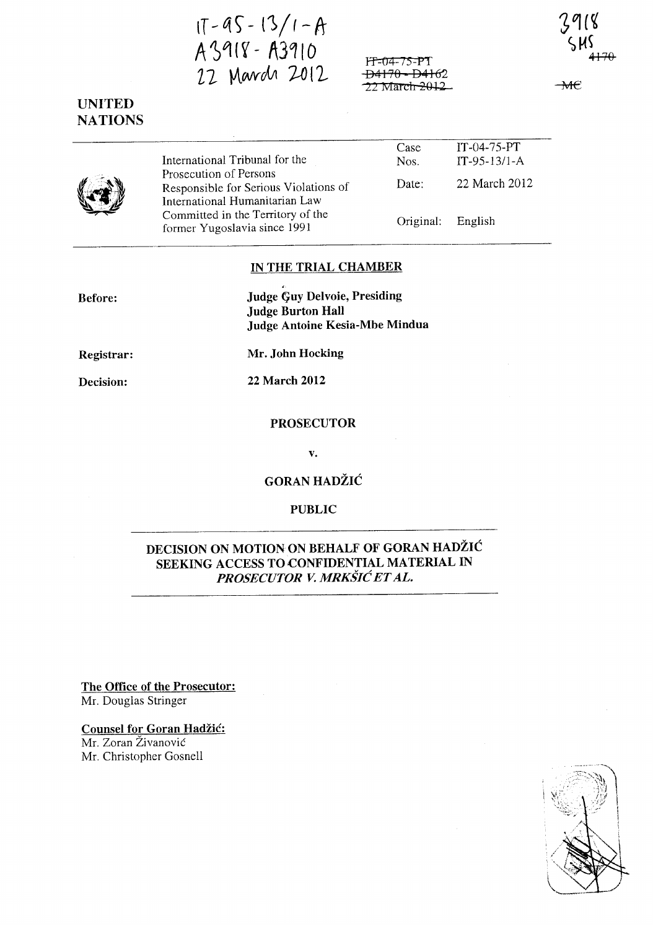$1T - 9S - 13/1 - A$ 43918 - A3910 22 Mards 2012

ff::04- JS-PT <del>D4170 - D416</del>2 22 March <del>2012</del>

 $\overline{\text{A}}$ 

# UNITED NATIONS

International Tribunal for the Prosecution of Persons Responsible for Serious Violations of International Humanitarian Law Committed in the Territory of the former Yugoslavia since 1991

| Case              | $IT-04-75-PT$  |
|-------------------|----------------|
| Nos.              | $IT-95-13/1-A$ |
| Date:             | 22 March 2012  |
| Original: English |                |

IN THE TRIAL CHAMBER

Before:

Judge Guy Delvoie, Presiding Judge Burton Hall Judge Antoine Kesia-Mbe Mindua

Registrar:

Mr. John Hocking

Decision:

22 March 2012

PROSECUTOR

v.

GORAN HADŽIĆ

### PUBLIC

## DECISION ON MOTION ON BEHALF OF GORAN HADZIC SEEKING ACCESS TO CONFIDENTIAL MATERIAL IN *PROSECUTOR V. MRKSIC ET AL.*

The Office of the Prosecutor: Mr. Douglas Stringer

Counsel for Goran Hadžić: Mr. Zoran Zivanovic Mr. Christopher Gosnell

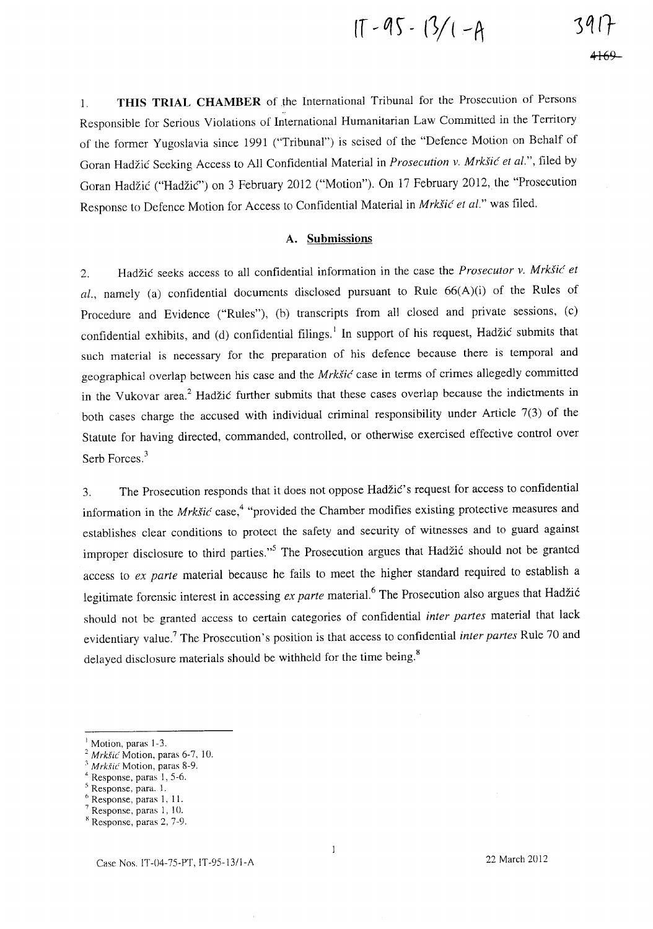$$
11 - 95 - 13/1 - A
$$
 391<sup>2</sup>

1. **THIS TRIAL CHAMBER** of~he International Tribunal for the Prosecution of Persons Responsible for Serious Violations of International Humanitarian Law Committed in the Territory of the former Yugoslavia since 1991 ("Tribunal") is seised of the "Defence Motion on Behalf of Goran Hadzic Seeking Access to All Confidential Material in *Prosecution v. MrkSic et al.",* filed by Goran Hadžić ("Hadžić") on 3 February 2012 ("Motion"). On 17 February 2012, the "Prosecution Response to Defence Motion for Access to Confidential Material in *MrkSic et al."* was filed.

#### **A. Submissions**

2. Hadzic seeks access to all confidential information in the case the *Prosecutor v. MrkSic et al.,* namely (a) confidential documents disclosed pursuant to Rule 66(A)(i) of the Rules of Procedure and Evidence ("Rules"), (b) transcripts from all closed and private sessions, (c) confidential exhibits, and (d) confidential filings.<sup>1</sup> In support of his request, Hadžić submits that such material is necessary for the preparation of his defence because there is temporal and geographical overlap between his case and the *MrkSic* case in terms of crimes allegedly committed in the Vukovar area.<sup>2</sup> Hadžić further submits that these cases overlap because the indictments in both cases charge the accused with individual criminal responsibility under Article 7(3) of the Statute for having directed, commanded, controlled, or otherwise exercised effective control over Serb Forces.<sup>3</sup>

3. The Prosecution responds that it does not oppose Hadzic's request for access to confidential information in the *Mrkšić* case,<sup>4</sup> "provided the Chamber modifies existing protective measures and establishes clear conditions to protect the safety and security of witnesses and to guard against improper disclosure to third parties."<sup>5</sup> The Prosecution argues that Hadžić should not be granted access to *ex parte* material because he fails to meet the higher standard required to establish a legitimate forensic interest in accessing *ex parte* material.<sup>6</sup> The Prosecution also argues that Hadžić should not be granted access to certain categories of confidential *inter partes* material that lack evidentiary value.7 The Prosecution's position is that access to confidential *inter partes* Rule 70 and delayed disclosure materials should be withheld for the time being. $8$ 

 $\mathbf{1}$ 

Motion, paras 1-3.

<sup>2</sup>*Mrkfic* Motion, paras 6-7, 10.

*<sup>,</sup> Mrk§ic'* Motion, paras 8-9.

<sup>4</sup> Response, paras I, 5-6.

<sup>5</sup> Response, para. I.

Response, paras 1, 11.

Response, paras 1, 10.

x Response, paras 2, 7-9.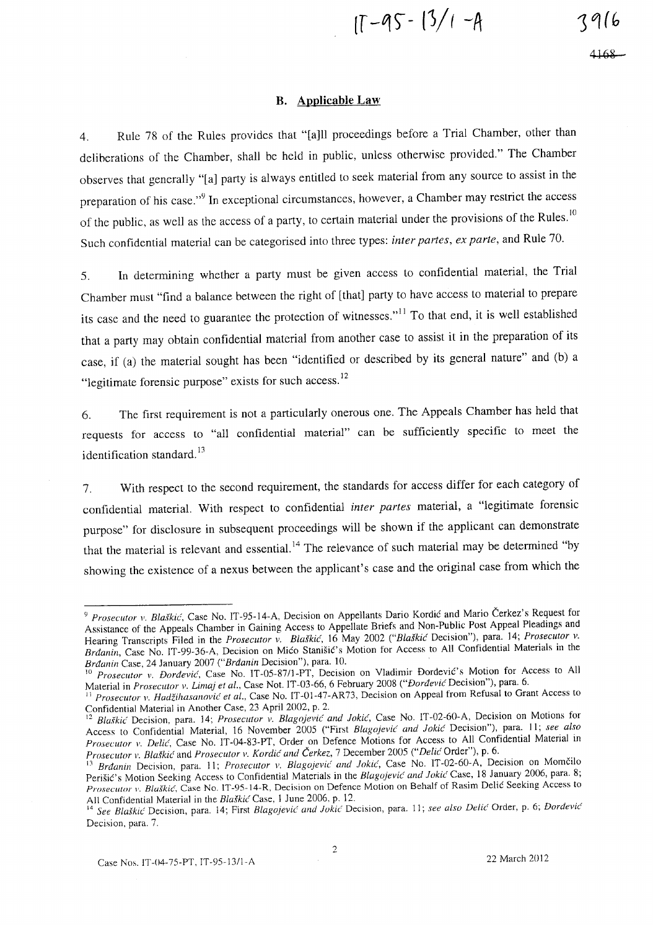$17 - 95 - 13/1 - A$ 

#### **B. Applicable Law**

4. Rule 78 of the Rules provides that "[a]ll proceedings before a Trial Chamber, other than deliberations of the Chamber, shall be held in public, unless otherwise provided." The Chamber observes that generally "[a] party is always entitled to seek material from any source to assist in the preparation of his case."<sup>9</sup> In exceptional circumstances, however, a Chamber may restrict the access of the public, as well as the access of a party, to certain material under the provisions of the Rules.<sup>10</sup> Such confidential material can be categorised into three types: *inter partes, ex parte,* and Rule 70.

5. In determining whether a party must be given access to confidential material, the Trial Chamber must "find a balance between the right of [that] party to have access to material to prepare its case and the need to guarantee the protection of witnesses."<sup>11</sup> To that end, it is well established that a party may obtain confidential material from another case to assist it in the preparation of its case, if (a) the material sought has been "identified or described by its general nature" and (b) a "legitimate forensic purpose" exists for such access.<sup>12</sup>

6. The first requirement is not a particularly onerous one. The Appeals Chamber has held that requests for access to "all confidential material" can be sufficiently specific to meet the identification standard. $^{13}$ 

7. With respect to the second requirement, the standards for access differ for each category of confidential material. With respect to confidential *inter partes* material, a "legitimate forensic purpose" for disclosure in subsequent proceedings will be shown if the applicant can demonstrate that the material is relevant and essential.<sup>14</sup> The relevance of such material may be determined "by showing the existence of a nexus between the applicant's case and the original case from which the

<sup>&</sup>lt;sup>9</sup> Prosecutor v. Blaškić, Case No. IT-95-14-A, Decision on Appellants Dario Kordić and Mario Čerkez's Request for Assistance of the Appeals Chamber in Gaining Access to Appellate Briefs and Non-Public Post Appeal Pleadings and Hearing Transcripts Filed in the *Prosecutor v. Blaškić*, 16 May 2002 *("Blaškić Decision")*, para. 14; *Prosecutor v.* Brdanin, Case No. IT-99-36-A, Decision on Mico Stanisic's Motion for Access to All Confidential Materials in the *Brdanin Case, 24 January 2007 ("Brdanin Decision"), para. 10.* 

<sup>10</sup>*Proseclltor v. Dordevic,* Case No. IT-OS-8711-PT, Decision on Vladimir Dordevic's Motion for Access to All Material in *Prosecutor v. Lima) et al.,* Case Not. IT -03-66, 6 February 2008 *("Dordevic* Decision"), para. 6.

<sup>&</sup>lt;sup>11</sup> Prosecutor v. *Hadžihasanović et al.*, Case No. IT-01-47-AR73, Decision on Appeal from Refusal to Grant Access to Confidential Material in Another Case, 23 April 2002, p. 2.

<sup>12</sup>*Blalkic'Decision,* para. 14; *Prosecutor v. Blagojevic and ]okic',* Case No. IT-02-60-A, Decision on Motions for Access to Confidential Material, 16 November 2005 ("First Blagojevic' and Jokic Decision"), para. 11; see also *Prosecutor* 1'. *Delic',* Case No. IT-04-83-PT, Order on Defence Motions for Access to All Confidential Material in *Prosecutor* 1'. *Blalkic'* and *Prosecutor v. Kordic' alld Cerkez,* 7 December 200S *("Delh:* Order"), p. 6.

<sup>&</sup>lt;sup>13</sup> Brdanin Decision, para. 11; *Prosecutor v. Blagojević and Jokić*, Case No. IT-02-60-A, Decision on Momčilo Perisic's Motion Seeking Access to Confidential Materials in the *Blago)evic' and ]okic'* Case, 18 January 2006, para. 8; *Prosecutor v. Blaškić*, Case No. IT-95-14-R, Decision on Defence Motion on Behalf of Rasim Delić Seeking Access to All Confidential Material in the *Blaškic* Case, 1 June 2006, p. 12.<br><sup>14</sup> See Blaškic Desister Case, 1 June 2006, p. 12.

See Blaškić Decision, para. 14; First *Blagojević and Jokić Decision, para. 11; see also Delić Order, p. 6; <i>Dordević* Decision, para. 7.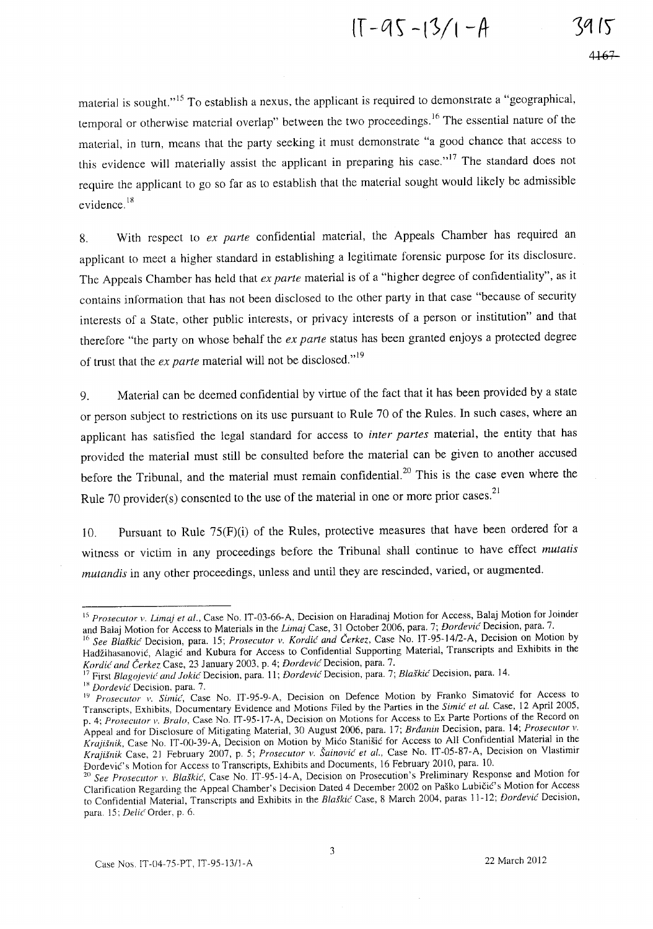$1T - 95 - 13/1 - A$ 

material is sought."<sup>15</sup> To establish a nexus, the applicant is required to demonstrate a "geographical, temporal or otherwise material overlap" between the two proceedings.<sup>16</sup> The essential nature of the material, in turn, means that the party seeking it must demonstrate "a good chance that access to this evidence will materially assist the applicant in preparing his case."<sup>17</sup> The standard does not require the applicant to go so far as to establish that the material sought would likely be admissible evidence. 18

8. With respect to *ex parte* confidential material, the Appeals Chamber has required an applicant to meet a higher standard in establishing a legitimate forensic purpose for its disclosure. The Appeals Chamber has held that *ex parte* material is of a "higher degree of confidentiality", as it contains information that has not been disclosed to the other party in that case "because of security interests of a State, other public interests, or privacy interests of a person or institution" and that therefore "the party on whose behalf the *ex parte* status has been granted enjoys a protected degree of trust that the *ex parte* material will not be disclosed."<sup>19</sup>

9. Material can be deemed confidential by virtue of the fact that it has been provided by a state or person subject to restrictions on its use pursuant to Rule 70 of the Rules. **In** such cases, where an applicant has satisfied the legal standard for access to *inter partes* material, the entity that has provided the material must still be consulted before the material can be given to another accused before the Tribunal, and the material must remain confidential.<sup>20</sup> This is the case even where the Rule 70 provider(s) consented to the use of the material in one or more prior cases.<sup>21</sup>

10. Pursuant to Rule 75(F)(i) of the Rules, protective measures that have been ordered for a witness or victim in any proceedings before the Tribunal shall continue to have effect *mutatis mutandis* in any other proceedings, unless and until they are rescinded, varied, or augmented.

<sup>18</sup> *Dordevic* Decision, para. 7.

<sup>&</sup>lt;sup>15</sup> Prosecutor v. Limaj et al., Case No. IT-03-66-A, Decision on Haradinaj Motion for Access, Balaj Motion for Joinder and Balaj Motion for Access to Materials in the *Lima)* Case, 31 October 2006, para. 7; *Dordevic* Decision, para. 7.

<sup>16</sup>*See Blalkic* Decision, para. 15; *Prosecutor v. Kordic and Cerkez,* Case No. IT -95-14/2-A, Decision on Motion by Hadžihasanović, Alagić and Kubura for Access to Confidential Supporting Material, Transcripts and Exhibits in the *Kordic and Cerkez* Case, 23 January 2003, p. 4; *Dordevic* Decision, para. 7.

First Blagojević and Jokić Decision, para. 11; *Dordević* Decision, para. 7; *Blaškić Decision*, para. 14.

IY *Prosecutor v. Simic',* Case No. IT -95-9-A, Decision on Defence Motion by Franko Simatovic for Access to Transcripts, Exhibits, Documentary Evidence and Motions Filed by the Parties in the Simic *et al.* Case, 12 April 2005, p. 4; *Prosecutor v. Bralo,* Case No. IT -95-17-A, Decision on Motions for Access to Ex Parte Portions of the Record on Appeal and for Disclosure of Mitigating Material, 30 August 2006, para. 17; *Brdanin Decision, para.* 14; *Prosecutor v. Krajišnik*, Case No. IT-00-39-A, Decision on Motion by Mico Stanišic for Access to All Confidential Material in the *Kra)i.fnik* Case, 21 February 2007, p. 5; *Prosecutor v. Sainovic et aI.,* Case No. IT-05-87-A, Decision on Vlastimir Dordevic's Motion for Access to Transcripts, Exhibits and Documents, 16 February 2010, para. 10.

<sup>&</sup>lt;sup>20</sup> See Prosecutor *v. Blaškić*, Case No. IT-95-14-A, Decision on Prosecution's Preliminary Response and Motion for Clarification Regarding the Appeal Chamber's Decision Dated 4 December 2002 on Pasko Lubicic's Motion for Access to Confidential Material, Transcripts and Exhibits in the *Blalkic'* Case, 8 March 2004, paras 11-12; *Dordevic'* Decision, para. 15; *De/ic* Order, p. 6.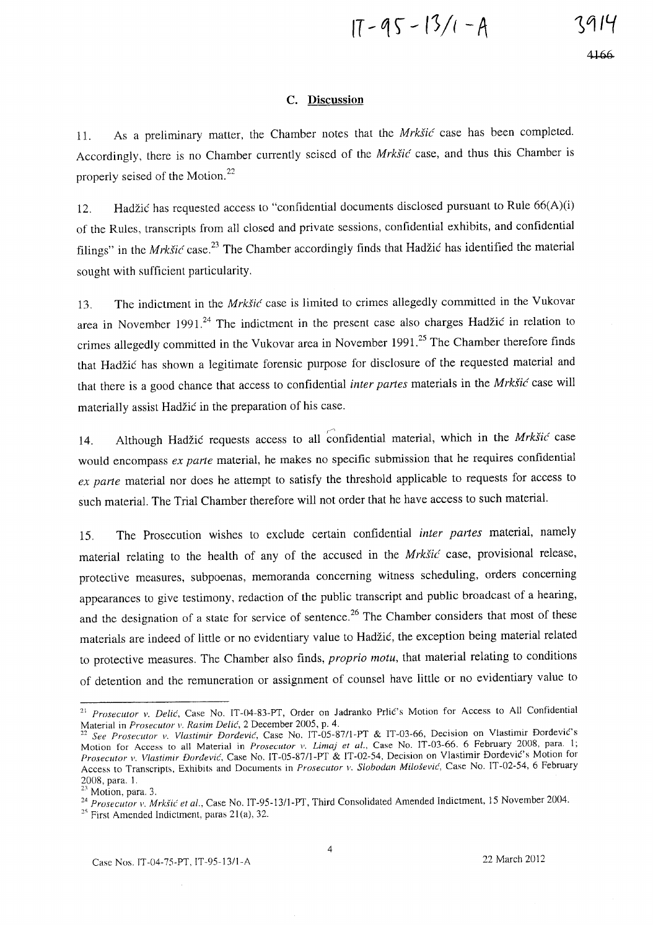$$
17 - 95 - 13/1 - A
$$

#### C. **Discussion**

11. As a preliminary matter, the Chamber notes that the *MrkSic* case has been completed. Accordingly, there is no Chamber currently seised of the *MrkSic* case, and thus this Chamber is properly seised of the Motion.<sup>22</sup>

12. Hadzic has requested access to "confidential documents disclosed pursuant to Rule 66(A)(i) of the Rules, transcripts from all closed and private sessions, confidential exhibits, and confidential filings" in the *Mrkšić* case.<sup>23</sup> The Chamber accordingly finds that Hadžić has identified the material sought with sufficient particularity.

13. The indictment in the *MrkSic* case is limited to crimes allegedly committed in the Vukovar area in November 1991.<sup>24</sup> The indictment in the present case also charges Hadžić in relation to crimes allegedly committed in the Vukovar area in November 1991.<sup>25</sup> The Chamber therefore finds that Hadzic has shown a legitimate forensic purpose for disclosure of the requested material and that there is a good chance that access to confidential *inter partes* materials in the *MrkSic* case will materially assist Hadzic in the preparation of his case.

 $\sim$ 14. Although Hadzic requests access to all confidential material, which in the *Mrksic* case would encompass *ex parte* material, he makes no specific submission that he requires confidential *ex parte* material nor does he attempt to satisfy the threshold applicable to requests for access to such material. The Trial Chamber therefore will not order that he have access to such material.

15. The Prosecution wishes to exclude certain confidential *inter partes* material, namely material relating to the health of any of the accused in the *MrkSic* case, provisional release, protective measures, subpoenas, memoranda concerning witness scheduling, orders concerning appearances to give testimony, redaction of the public transcript and public broadcast of a hearing, and the designation of a state for service of sentence.<sup>26</sup> The Chamber considers that most of these materials are indeed of little or no evidentiary value to Hadzic, the exception being material related to protective measures. The Chamber also finds, *proprio motu,* that material relating to conditions of detention and the remuneration or assignment of counsel have little or no evidentiary value to

<sup>&</sup>lt;sup>21</sup> Prosecutor v. Delić, Case No. IT-04-83-PT, Order on Jadranko Prlić's Motion for Access to All Confidential Material in *Prosecutor v. Rasim Delic*, 2 December 2005, p. 4.

*<sup>22</sup> See Prosecutor v. Vlastimir Dordevie,* Case No. IT-OS-S7!l-PT & IT-03-66, Decision on Vlastimir Dordevic's Motion for Access to all Material in *Prosecutor v. Limaj et al.*, Case No. IT-03-66. 6 February 2008, para. 1; *Prosecutor v. Vlastimir Dordevie,* Case No. IT -OS-S711-PT & IT -02-S4, Decision on Vlastimir Dordevic's Motion for Access to Transcripts, Exhibits and Documents in *Prosecutor v. Slobodan Milošević*, Case No. IT-02-54, 6 February 200S, para. I.

 $23$  Motion, para. 3.

<sup>&</sup>lt;sup>24</sup> Prosecutor *v. Mrkšić et al., Case No. IT-95-13/1-PT, Third Consolidated Amended Indictment, 15 November 2004.* 

 $25$  First Amended Indictment, paras 21(a), 32.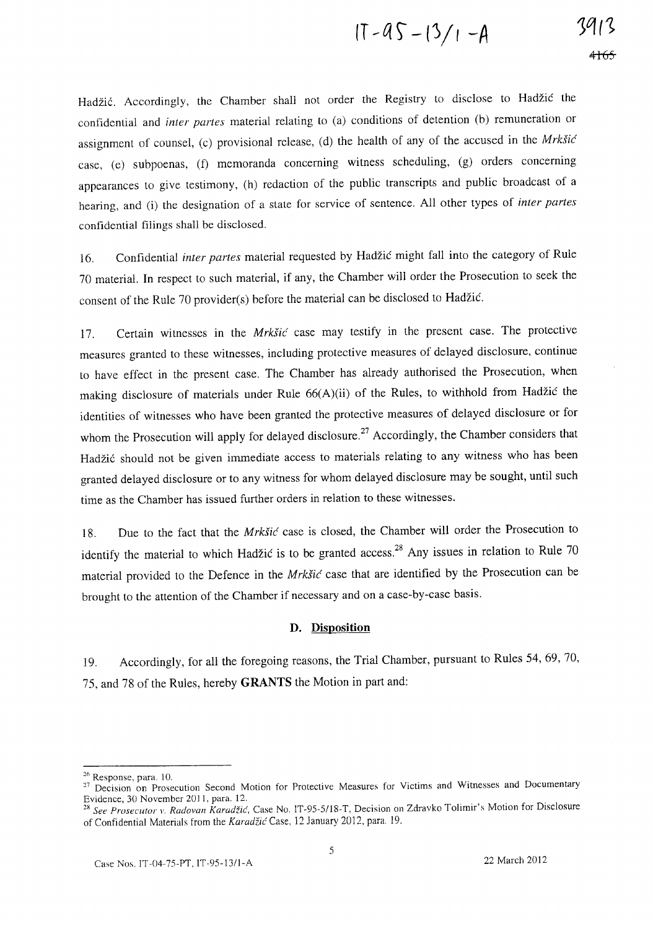$$
(1 - 95 - 13)/1 - A
$$

Hadžić. Accordingly, the Chamber shall not order the Registry to disclose to Hadžić the confidential and *inter partes* material relating to (a) conditions of detention (b) remuneration or assignment of counsel, (c) provisional release, (d) the health of any of the accused in the  $Mrk\ddot{s}i\acute{c}$ case, (e) subpoenas, (f) memoranda concerning witness scheduling, (g) orders concerning appearances to give testimony, (h) redaction of the public transcripts and public broadcast of a hearing, and (i) the designation of a state for service of sentence. All other types of *inter partes*  confidential filings shall be disclosed.

16. Confidential *inter partes* material requested by Hadzic might fall into the category of Rule 70 material. **In** respect to such material, if any, the Chamber will order the Prosecution to seek the consent of the Rule 70 provider(s) before the material can be disclosed to Hadzic.

17. Certain witnesses in the Mrkšić case may testify in the present case. The protective measures granted to these witnesses, including protective measures of delayed disclosure, continue to have effect in the present case. The Chamber has already authorised the Prosecution, when making disclosure of materials under Rule 66(A)(ii) of the Rules, to withhold from Hadzic the identities of witnesses who have been granted the protective measures of delayed disclosure or for whom the Prosecution will apply for delayed disclosure.<sup>27</sup> Accordingly, the Chamber considers that Hadžić should not be given immediate access to materials relating to any witness who has been granted delayed disclosure or to any witness for whom delayed disclosure may be sought, until such time as the Chamber has issued further orders in relation to these witnesses.

18. Due to the fact that the Mrkšić case is closed, the Chamber will order the Prosecution to identify the material to which Hadžić is to be granted access.<sup>28</sup> Any issues in relation to Rule 70 material provided to the Defence in the Mrkšić case that are identified by the Prosecution can be brought to the attention of the Chamber if necessary and on a case-by-case basis.

### **D. Disposition**

19. Accordingly, for all the foregoing reasons, the Trial Chamber, pursuant to Rules 54, 69, 70, 75, and 78 of the Rules, hereby **GRANTS** the Motion in part and:

<sup>26</sup> Response, para. 10.

<sup>&</sup>lt;sup>27</sup> Decision on Prosecution Second Motion for Protective Measures for Victims and Witnesses and Documentary Evidence, 30 November 201 1, para. 12.

<sup>&</sup>lt;sup>28</sup> See Prosecutor v. Radovan Karadžić, Case No. IT-95-5/18-T, Decision on Zdravko Tolimir's Motion for Disclosure of Confidential Materials from the Karadžić Case, 12 January 2012, para. 19.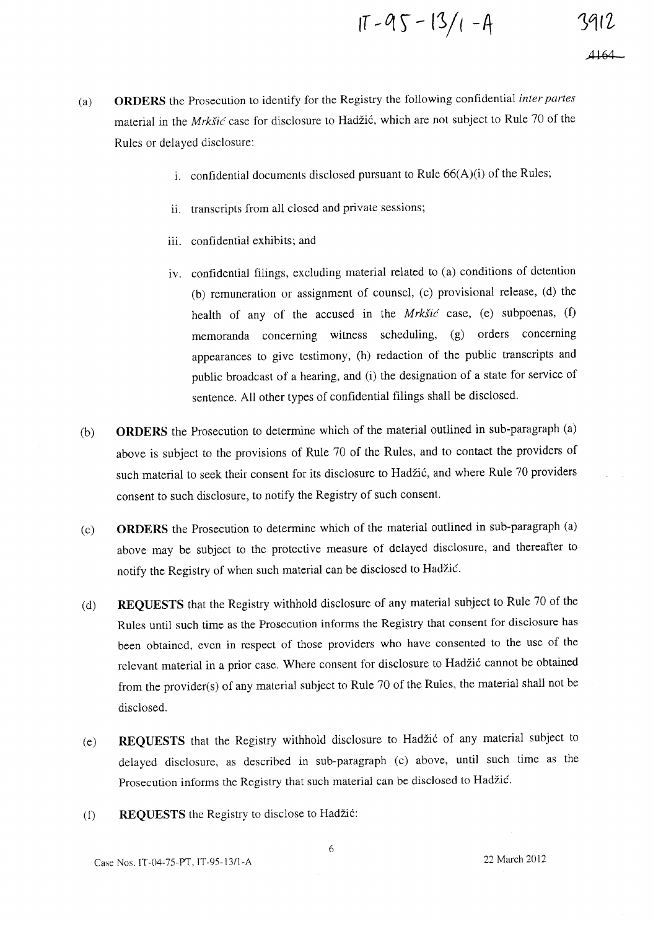$$
11 - 95 - 13/1 - 4
$$

*.A* **164** 

- 1. confidential documents disclosed pursuant to Rule  $66(A)(i)$  of the Rules;
- ii. transcripts from all closed and private sessions;
- iii. confidential exhibits; and
- iv. confidential filings, excluding material related to (a) conditions of detention (b) remuneration or assignment of counsel, (c) provisional release, (d) the health of any of the accused in the *MrkSic* case, (e) subpoenas, (f) memoranda concerning witness scheduling, (g) orders concerning appearances to give testimony, (h) redaction of the public transcripts and public broadcast of a hearing, and (i) the designation of a state for service of sentence. All other types of confidential filings shall be disclosed.
- (b) **ORDERS** the Prosecution to determine which of the material outlined in sub-paragraph (a) above is subject to the provisions of Rule 70 of the Rules, and to contact the providers of such material to seek their consent for its disclosure to Hadžić, and where Rule 70 providers consent to such disclosure, to notify the Registry of such consent.
- (c) **ORDERS** the Prosecution to determine which of the material outlined in sub-paragraph (a) above may be subject to the protective measure of delayed disclosure, and thereafter to notify the Registry of when such material can be disclosed to Hadzic.
- Cd) **REQUESTS** that the Registry withhold disclosure of any material subject to Rule 70 of the Rules until such time as the Prosecution informs the Registry that consent for disclosure has been obtained, even in respect of those providers who have consented to the use of the relevant material in a prior case. Where consent for disclosure to Hadžić cannot be obtained from the provider(s) of any material subject to Rule 70 of the Rules, the material shall not be disclosed.
- Ce) **REQUESTS** that the Registry withhold disclosure to Hadzi6 of any material subject to delayed disclosure, as described in sub-paragraph (c) above, until such time as the Prosecution informs the Registry that such material can be disclosed to Hadzic.
- (f) **REQUESTS** the Registry to disclose to Hadzi6: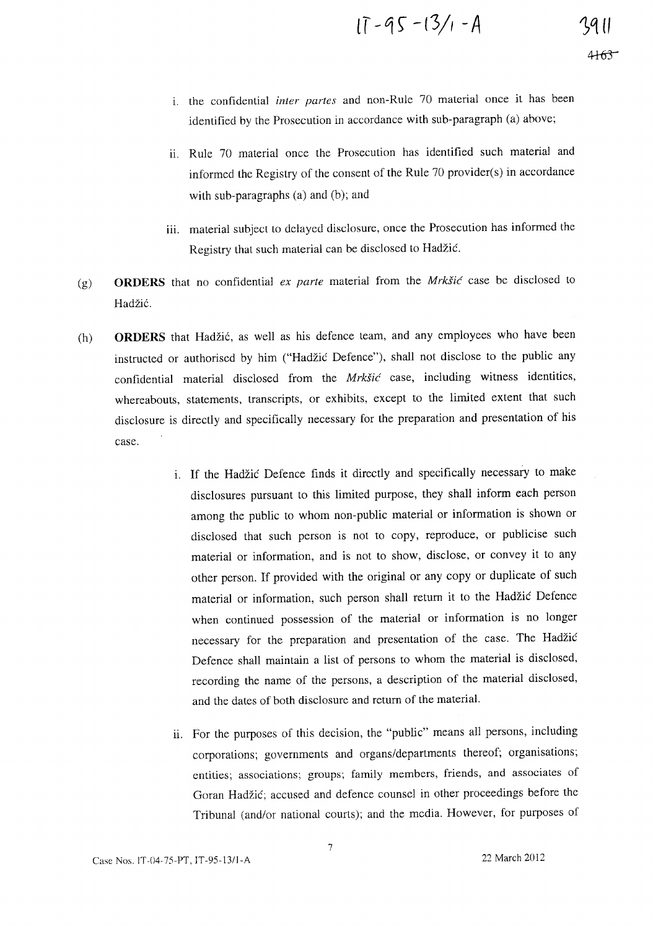$11 - 95 - 13/1 - A$ 

- 1. the confidential *inter partes* and non-Rule 70 material once it has been identified by the Prosecution in accordance with sub-paragraph (a) above;
- ii. Rule 70 material once the Prosecution has identified such material and informed the Registry of the consent of the Rule 70 provider(s) in accordance with sub-paragraphs  $(a)$  and  $(b)$ ; and
- iii. material subject to delayed disclosure, once the Prosecution has informed the Registry that such material can be disclosed to Hadzic.
- (g) **ORDERS** that no confidential *ex parte* material from the *Mrk§ic* case be disclosed to Hadžić.
- Ch) **ORDERS** that Hadzic, as well as his defence team, and any employees who have been instructed or authorised by him ("Hadžić Defence"), shall not disclose to the public any confidential material disclosed from the *MrkSic* case, including witness identities, whereabouts, statements, transcripts, or exhibits, except to the limited extent that such disclosure is directly and specifically necessary for the preparation and presentation of his case.
	- i. If the Hadzic Defence finds it directly and specifically necessary to make disclosures pursuant to this limited purpose, they shall inform each person among the public to whom non-public material or information is shown or disclosed that such person is not to copy, reproduce, or publicise such material or information, and is not to show, disclose, or convey it to any other person. If provided with the original or any copy or duplicate of such material or information, such person shall return it to the Hadzic Defence when continued possession of the material or information is no longer necessary for the preparation and presentation of the case. The Hadzic Defence shall maintain a list of persons to whom the material is disclosed, recording the name of the persons, a description of the material disclosed, and the dates of both disclosure and return of the material.
	- 11. For the purposes of this decision, the "public" means all persons, including corporations; governments and organs/departments thereof; organisations; entities; associations; groups; family members, friends, and associates of Goran Hadzic; accused and defence counsel in other proceedings before the Tribunal (and/or national courts); and the media. However, for purposes of